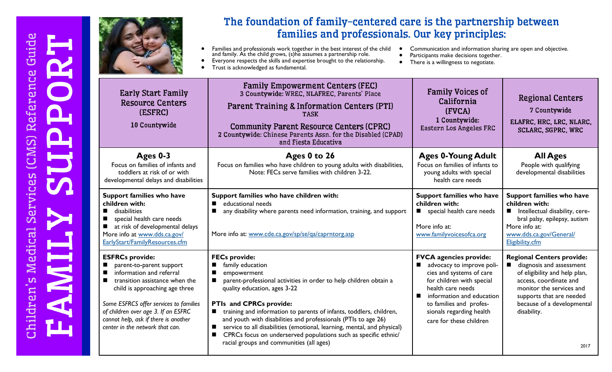

## The foundation of family-centered care is the partnership between families and professionals. Our key principles:

· Families and professionals work together in the best interest of the child and family. As the child grows, (s)he assumes a partnership role. · Everyone respects the skills and expertise brought to the relationship.

• Trust is acknowledged as fundamental.

- **•** Communication and information sharing are open and objective.
- Participants make decisions together.
- There is a willingness to negotiate.

|        | <b>Early Start Family</b><br><b>Resource Centers</b><br>(ESFRC)<br>10 Countywide                                                                                                                                                                                                                               | <b>Family Empowerment Centers (FEC)</b><br>3 Countywide: WREC, NLAFREC, Parents' Place<br>Parent Training & Information Centers (PTI)<br><b>TASK</b><br><b>Community Parent Resource Centers (CPRC)</b><br>2 Countywide: Chinese Parents Assn. for the Disabled (CPAD)<br>and Fiesta Educativa                                                                                                                                                                                                                                  | <b>Family Voices of</b><br>California<br>(FVCA)<br>1 Countywide:<br>Eastern Los Angeles FRC                                                                                                                                                             | <b>Regional Centers</b><br>7 Countywide<br>ELAFRC, HRC, LRC, NLARC,<br><b>SCLARC, SGPRC, WRC</b>                                                                                                                                     |
|--------|----------------------------------------------------------------------------------------------------------------------------------------------------------------------------------------------------------------------------------------------------------------------------------------------------------------|---------------------------------------------------------------------------------------------------------------------------------------------------------------------------------------------------------------------------------------------------------------------------------------------------------------------------------------------------------------------------------------------------------------------------------------------------------------------------------------------------------------------------------|---------------------------------------------------------------------------------------------------------------------------------------------------------------------------------------------------------------------------------------------------------|--------------------------------------------------------------------------------------------------------------------------------------------------------------------------------------------------------------------------------------|
|        | Ages 0-3<br>Focus on families of infants and<br>toddlers at risk of or with<br>developmental delays and disabilities                                                                                                                                                                                           | Ages 0 to 26<br>Focus on families who have children to young adults with disabilities,<br>Note: FECs serve families with children 3-22.                                                                                                                                                                                                                                                                                                                                                                                         | <b>Ages 0-Young Adult</b><br>Focus on families of infants to<br>young adults with special<br>health care needs                                                                                                                                          | <b>All Ages</b><br>People with qualifying<br>developmental disabilities                                                                                                                                                              |
|        | Support families who have<br>children with:<br>disabilities<br>п<br>special health care needs<br>П<br>at risk of developmental delays<br>$\blacksquare$<br>More info at www.dds.ca.gov/<br>EarlyStart/FamilyResources.cfm                                                                                      | Support families who have children with:<br>educational needs<br>any disability where parents need information, training, and support<br>More info at: www.cde.ca.gov/sp/se/qa/caprntorg.asp                                                                                                                                                                                                                                                                                                                                    | Support families who have<br>children with:<br>special health care needs<br>More info at:<br>www.familyvoicesofca.org                                                                                                                                   | Support families who have<br>children with:<br>Intellectual disability, cere-<br>ш<br>bral palsy, epilepsy, autism<br>More info at:<br>www.dds.ca.gov/General/<br>Eligibility.cfm                                                    |
| п<br>п | <b>ESFRCs provide:</b><br>parent-to-parent support<br>information and referral<br>transition assistance when the<br>child is approaching age three<br>Some ESFRCS offer services to families<br>of children over age 3. If an ESFRC<br>cannot help, ask if there is another<br>center in the network that can. | <b>FECs provide:</b><br>family education<br>empowerment<br>parent-professional activities in order to help children obtain a<br>quality education, ages 3-22<br>PTIs and CPRCs provide:<br>training and information to parents of infants, toddlers, children,<br>and youth with disabilities and professionals (PTIs to age 26)<br>service to all disabilities (emotional, learning, mental, and physical)<br>CPRCs focus on underserved populations such as specific ethnic/<br>п<br>racial groups and communities (all ages) | <b>FVCA</b> agencies provide:<br>advocacy to improve poli-<br>cies and systems of care<br>for children with special<br>health care needs<br>information and education<br>to families and profes-<br>sionals regarding health<br>care for these children | <b>Regional Centers provide:</b><br>diagnosis and assessment<br>of eligibility and help plan,<br>access, coordinate and<br>monitor the services and<br>supports that are needed<br>because of a developmental<br>disability.<br>2017 |